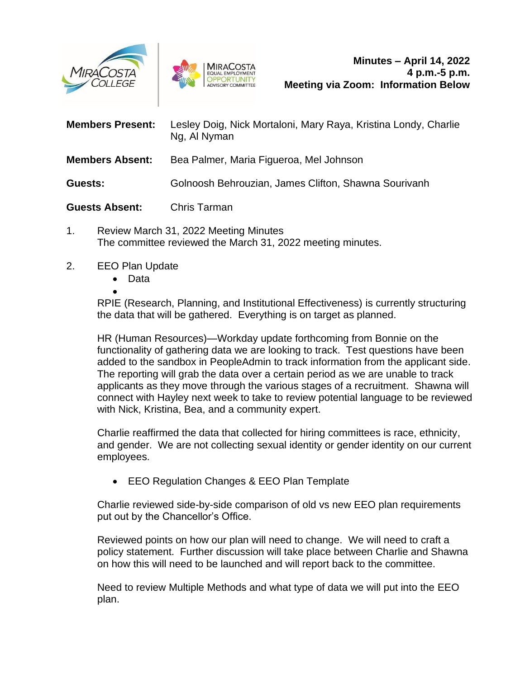



| <b>Members Present:</b> | Lesley Doig, Nick Mortaloni, Mary Raya, Kristina Londy, Charlie<br>Ng, Al Nyman |
|-------------------------|---------------------------------------------------------------------------------|
| <b>Members Absent:</b>  | Bea Palmer, Maria Figueroa, Mel Johnson                                         |
| Guests:                 | Golnoosh Behrouzian, James Clifton, Shawna Sourivanh                            |
| <b>Guests Absent:</b>   | Chris Tarman                                                                    |

- 1. Review March 31, 2022 Meeting Minutes The committee reviewed the March 31, 2022 meeting minutes.
- 2. EEO Plan Update
	- Data
	- •

RPIE (Research, Planning, and Institutional Effectiveness) is currently structuring the data that will be gathered. Everything is on target as planned.

HR (Human Resources)—Workday update forthcoming from Bonnie on the functionality of gathering data we are looking to track. Test questions have been added to the sandbox in PeopleAdmin to track information from the applicant side. The reporting will grab the data over a certain period as we are unable to track applicants as they move through the various stages of a recruitment. Shawna will connect with Hayley next week to take to review potential language to be reviewed with Nick, Kristina, Bea, and a community expert.

Charlie reaffirmed the data that collected for hiring committees is race, ethnicity, and gender. We are not collecting sexual identity or gender identity on our current employees.

• EEO Regulation Changes & EEO Plan Template

Charlie reviewed side-by-side comparison of old vs new EEO plan requirements put out by the Chancellor's Office.

Reviewed points on how our plan will need to change. We will need to craft a policy statement. Further discussion will take place between Charlie and Shawna on how this will need to be launched and will report back to the committee.

Need to review Multiple Methods and what type of data we will put into the EEO plan.